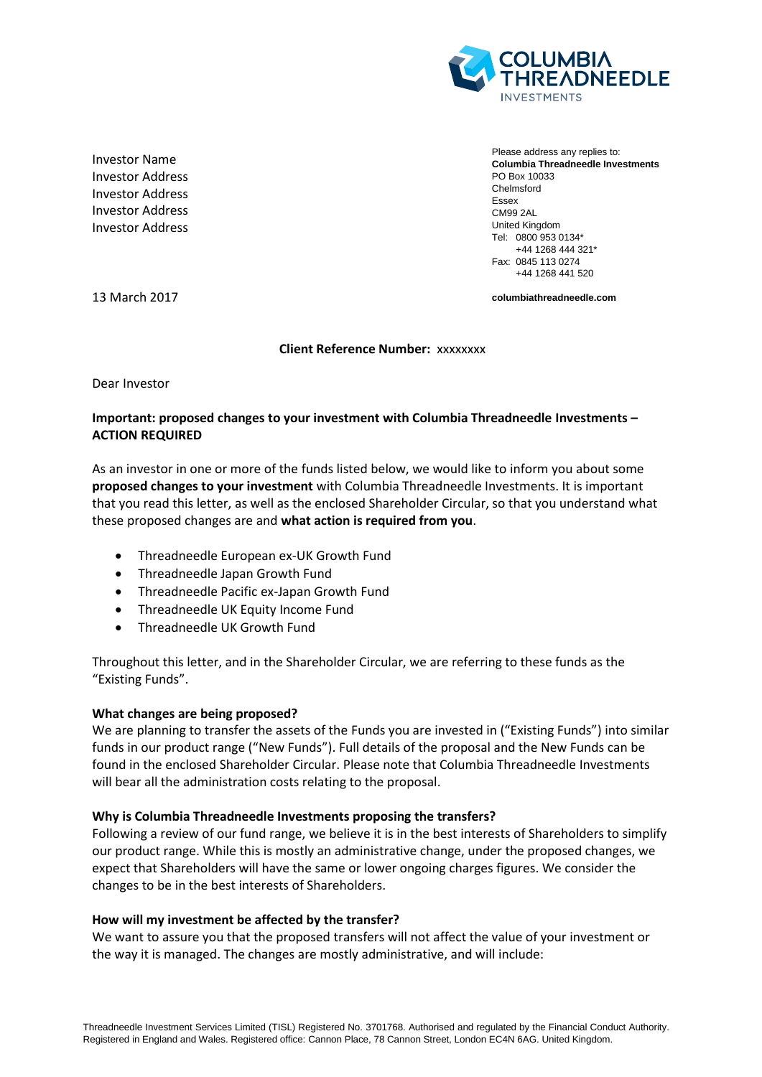

Investor Name Investor Address Investor Address Investor Address Investor Address

Please address any replies to: **Columbia Threadneedle Investments** PO Box 10033 Chelmsford Essex CM99 2AL United Kingdom Tel: 0800 953 0134\* +44 1268 444 321\* Fax: 0845 113 0274 +44 1268 441 520

13 March 2017

**columbiathreadneedle.com**

**Client Reference Number:** xxxxxxxx

Dear Investor

# **Important: proposed changes to your investment with Columbia Threadneedle Investments – ACTION REQUIRED**

As an investor in one or more of the funds listed below, we would like to inform you about some **proposed changes to your investment** with Columbia Threadneedle Investments. It is important that you read this letter, as well as the enclosed Shareholder Circular, so that you understand what these proposed changes are and **what action is required from you**.

- Threadneedle European ex-UK Growth Fund
- Threadneedle Japan Growth Fund
- Threadneedle Pacific ex-Japan Growth Fund
- Threadneedle UK Equity Income Fund
- Threadneedle UK Growth Fund

Throughout this letter, and in the Shareholder Circular, we are referring to these funds as the "Existing Funds".

## **What changes are being proposed?**

We are planning to transfer the assets of the Funds you are invested in ("Existing Funds") into similar funds in our product range ("New Funds"). Full details of the proposal and the New Funds can be found in the enclosed Shareholder Circular. Please note that Columbia Threadneedle Investments will bear all the administration costs relating to the proposal.

## **Why is Columbia Threadneedle Investments proposing the transfers?**

Following a review of our fund range, we believe it is in the best interests of Shareholders to simplify our product range. While this is mostly an administrative change, under the proposed changes, we expect that Shareholders will have the same or lower ongoing charges figures. We consider the changes to be in the best interests of Shareholders.

## **How will my investment be affected by the transfer?**

We want to assure you that the proposed transfers will not affect the value of your investment or the way it is managed. The changes are mostly administrative, and will include: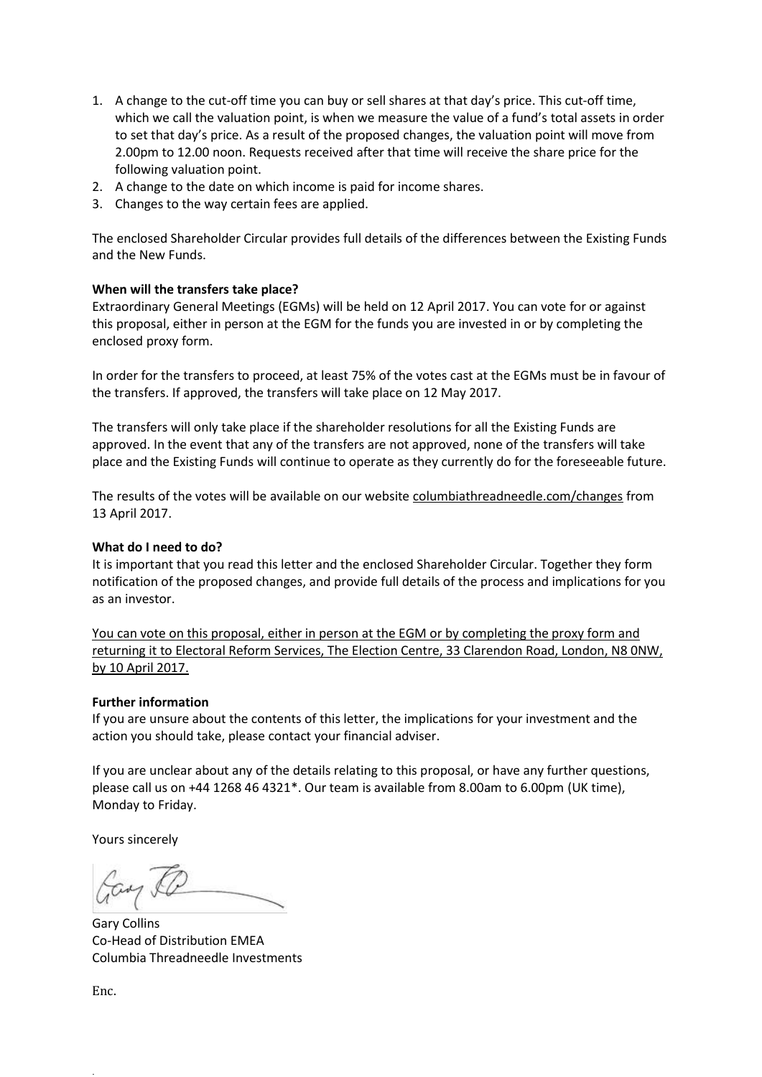- 1. A change to the cut-off time you can buy or sell shares at that day's price. This cut-off time, which we call the valuation point, is when we measure the value of a fund's total assets in order to set that day's price. As a result of the proposed changes, the valuation point will move from 2.00pm to 12.00 noon. Requests received after that time will receive the share price for the following valuation point.
- 2. A change to the date on which income is paid for income shares.
- 3. Changes to the way certain fees are applied.

The enclosed Shareholder Circular provides full details of the differences between the Existing Funds and the New Funds.

## **When will the transfers take place?**

Extraordinary General Meetings (EGMs) will be held on 12 April 2017. You can vote for or against this proposal, either in person at the EGM for the funds you are invested in or by completing the enclosed proxy form.

In order for the transfers to proceed, at least 75% of the votes cast at the EGMs must be in favour of the transfers. If approved, the transfers will take place on 12 May 2017.

The transfers will only take place if the shareholder resolutions for all the Existing Funds are approved. In the event that any of the transfers are not approved, none of the transfers will take place and the Existing Funds will continue to operate as they currently do for the foreseeable future.

The results of the votes will be available on our website columbiathreadneedle.com/changes from 13 April 2017.

## **What do I need to do?**

It is important that you read this letter and the enclosed Shareholder Circular. Together they form notification of the proposed changes, and provide full details of the process and implications for you as an investor.

You can vote on this proposal, either in person at the EGM or by completing the proxy form and returning it to Electoral Reform Services, The Election Centre, 33 Clarendon Road, London, N8 0NW, by 10 April 2017.

## **Further information**

If you are unsure about the contents of this letter, the implications for your investment and the action you should take, please contact your financial adviser.

If you are unclear about any of the details relating to this proposal, or have any further questions, please call us on +44 1268 46 4321\*. Our team is available from 8.00am to 6.00pm (UK time), Monday to Friday.

Yours sincerely

Cay &

Gary Collins Co-Head of Distribution EMEA Columbia Threadneedle Investments

Enc.

.